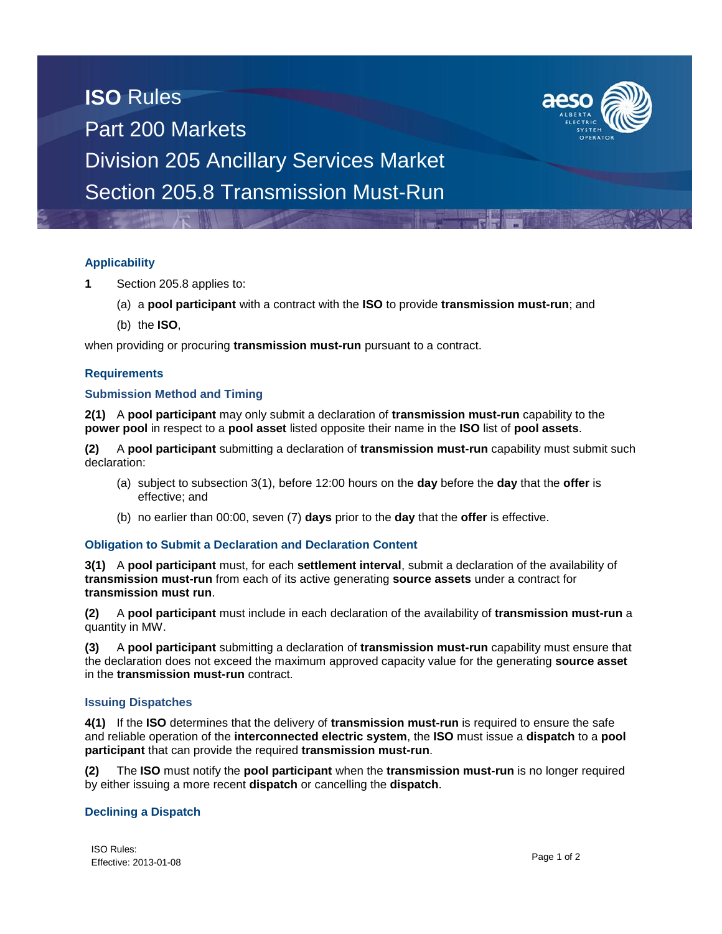# **ISO** Rules Part 200 Markets Division 205 Ancillary Services Market Section 205.8 Transmission Must-Run



- **1** Section 205.8 applies to:
	- (a) a **pool participant** with a contract with the **ISO** to provide **transmission must-run**; and
	- (b) the **ISO**,

when providing or procuring **transmission must-run** pursuant to a contract.

### **Requirements**

### **Submission Method and Timing**

**2(1)** A **pool participant** may only submit a declaration of **transmission must-run** capability to the **power pool** in respect to a **pool asset** listed opposite their name in the **ISO** list of **pool assets**.

**(2)** A **pool participant** submitting a declaration of **transmission must-run** capability must submit such declaration:

- (a) subject to subsection 3(1), before 12:00 hours on the **day** before the **day** that the **offer** is effective; and
- (b) no earlier than 00:00, seven (7) **days** prior to the **day** that the **offer** is effective.

### **Obligation to Submit a Declaration and Declaration Content**

**3(1)** A **pool participant** must, for each **settlement interval**, submit a declaration of the availability of **transmission must-run** from each of its active generating **source assets** under a contract for **transmission must run**.

**(2)** A **pool participant** must include in each declaration of the availability of **transmission must-run** a quantity in MW.

**(3)** A **pool participant** submitting a declaration of **transmission must-run** capability must ensure that the declaration does not exceed the maximum approved capacity value for the generating **source asset** in the **transmission must-run** contract.

### **Issuing Dispatches**

**4(1)** If the **ISO** determines that the delivery of **transmission must-run** is required to ensure the safe and reliable operation of the **interconnected electric system**, the **ISO** must issue a **dispatch** to a **pool participant** that can provide the required **transmission must-run**.

**(2)** The **ISO** must notify the **pool participant** when the **transmission must-run** is no longer required by either issuing a more recent **dispatch** or cancelling the **dispatch**.

### **Declining a Dispatch**

ISO Rules: TOO Rules.<br>Effective: 2013-01-08 Page 1 of 2